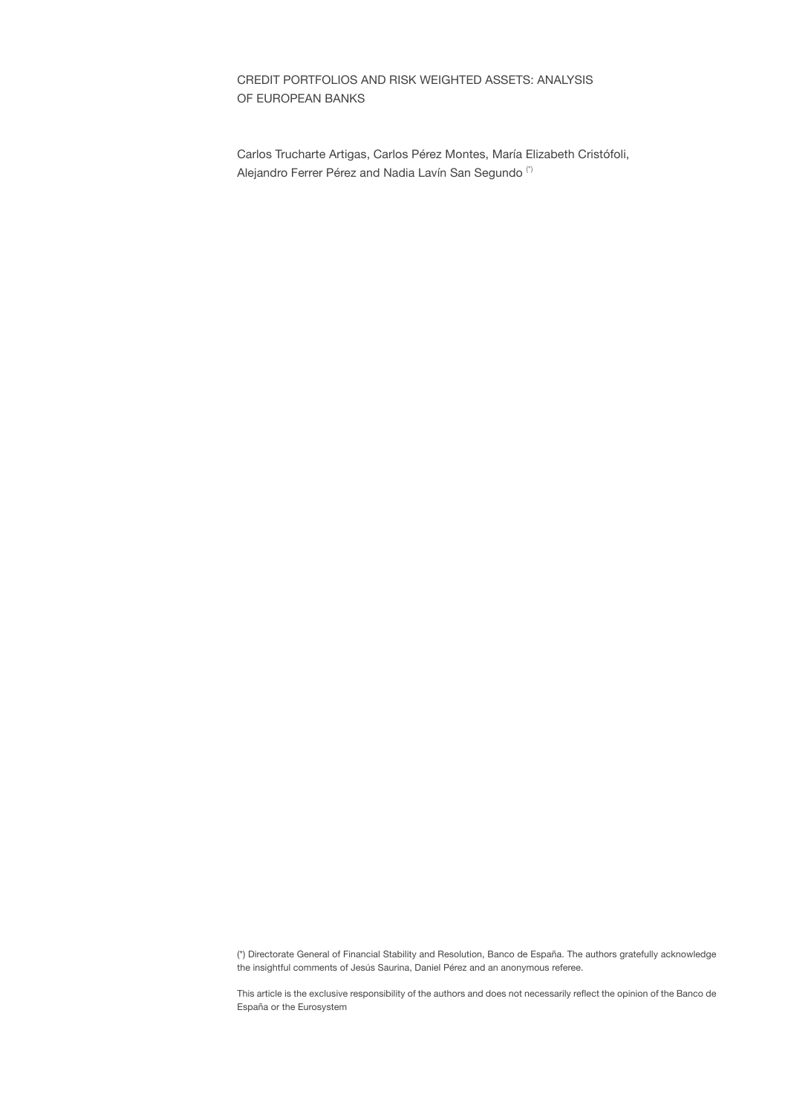# CREDIT PORTFOLIOS AND RISK WEIGHTED ASSETS: ANALYSIS OF EUROPEAN BANKS

Carlos Trucharte Artigas, Carlos Pérez Montes, María Elizabeth Cristófoli, Alejandro Ferrer Pérez and Nadia Lavín San Segundo (\*)

(\*) Directorate General of Financial Stability and Resolution, Banco de España. The authors gratefully acknowledge the insightful comments of Jesús Saurina, Daniel Pérez and an anonymous referee.

This article is the exclusive responsibility of the authors and does not necessarily reflect the opinion of the Banco de España or the Eurosystem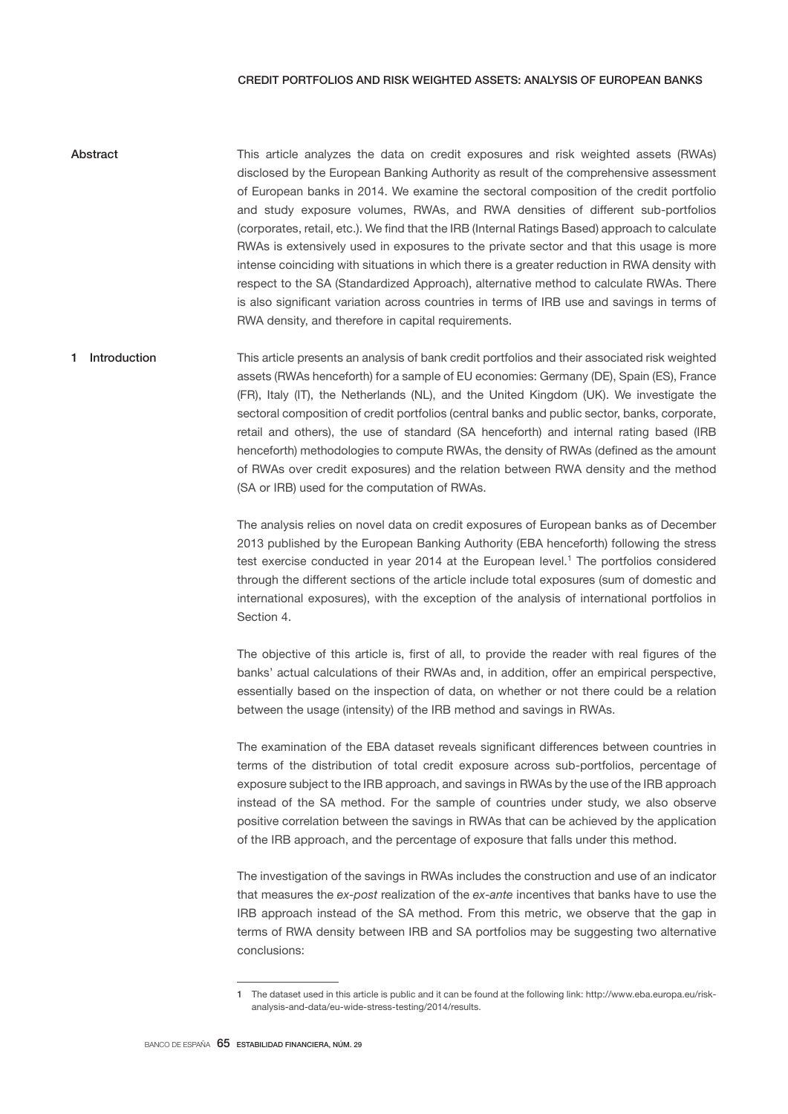### CREDIT PORTFOLIOS AND RISK WEIGHTED ASSETS: ANALYSIS OF EUROPEAN BANKS

- This article analyzes the data on credit exposures and risk weighted assets (RWAs) disclosed by the European Banking Authority as result of the comprehensive assessment of European banks in 2014. We examine the sectoral composition of the credit portfolio and study exposure volumes, RWAs, and RWA densities of different sub-portfolios (corporates, retail, etc.). We find that the IRB (Internal Ratings Based) approach to calculate RWAs is extensively used in exposures to the private sector and that this usage is more intense coinciding with situations in which there is a greater reduction in RWA density with respect to the SA (Standardized Approach), alternative method to calculate RWAs. There is also significant variation across countries in terms of IRB use and savings in terms of RWA density, and therefore in capital requirements. Abstract
- This article presents an analysis of bank credit portfolios and their associated risk weighted assets (RWAs henceforth) for a sample of EU economies: Germany (DE), Spain (ES), France (FR), Italy (IT), the Netherlands (NL), and the United Kingdom (UK). We investigate the sectoral composition of credit portfolios (central banks and public sector, banks, corporate, retail and others), the use of standard (SA henceforth) and internal rating based (IRB henceforth) methodologies to compute RWAs, the density of RWAs (defined as the amount of RWAs over credit exposures) and the relation between RWA density and the method (SA or IRB) used for the computation of RWAs. 1 Introduction

The analysis relies on novel data on credit exposures of European banks as of December 2013 published by the European Banking Authority (EBA henceforth) following the stress test exercise conducted in year 2014 at the European level.<sup>1</sup> The portfolios considered through the different sections of the article include total exposures (sum of domestic and international exposures), with the exception of the analysis of international portfolios in Section 4.

The objective of this article is, first of all, to provide the reader with real figures of the banks' actual calculations of their RWAs and, in addition, offer an empirical perspective, essentially based on the inspection of data, on whether or not there could be a relation between the usage (intensity) of the IRB method and savings in RWAs.

The examination of the EBA dataset reveals significant differences between countries in terms of the distribution of total credit exposure across sub-portfolios, percentage of exposure subject to the IRB approach, and savings in RWAs by the use of the IRB approach instead of the SA method. For the sample of countries under study, we also observe positive correlation between the savings in RWAs that can be achieved by the application of the IRB approach, and the percentage of exposure that falls under this method.

The investigation of the savings in RWAs includes the construction and use of an indicator that measures the *ex-post* realization of the *ex-ante* incentives that banks have to use the IRB approach instead of the SA method. From this metric, we observe that the gap in terms of RWA density between IRB and SA portfolios may be suggesting two alternative conclusions:

<sup>1</sup> The dataset used in this article is public and it can be found at the following link: http://www.eba.europa.eu/riskanalysis-and-data/eu-wide-stress-testing/2014/results.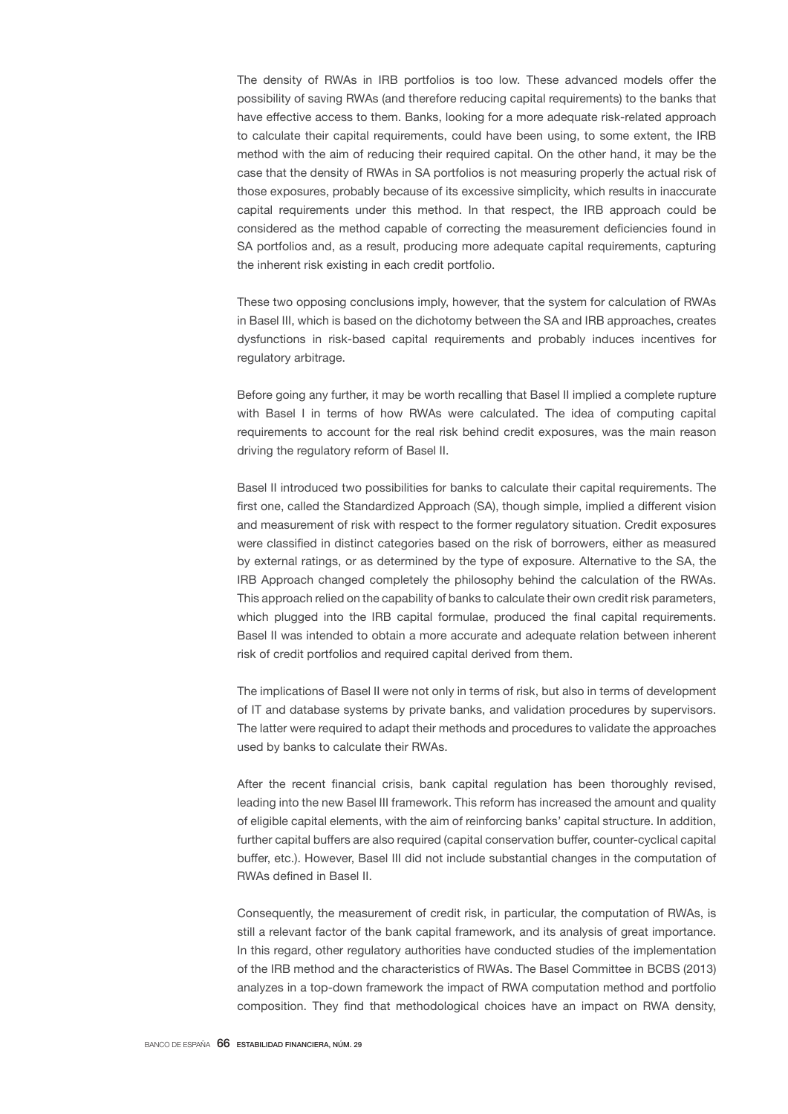The density of RWAs in IRB portfolios is too low. These advanced models offer the possibility of saving RWAs (and therefore reducing capital requirements) to the banks that have effective access to them. Banks, looking for a more adequate risk-related approach to calculate their capital requirements, could have been using, to some extent, the IRB method with the aim of reducing their required capital. On the other hand, it may be the case that the density of RWAs in SA portfolios is not measuring properly the actual risk of those exposures, probably because of its excessive simplicity, which results in inaccurate capital requirements under this method. In that respect, the IRB approach could be considered as the method capable of correcting the measurement deficiencies found in SA portfolios and, as a result, producing more adequate capital requirements, capturing the inherent risk existing in each credit portfolio.

These two opposing conclusions imply, however, that the system for calculation of RWAs in Basel III, which is based on the dichotomy between the SA and IRB approaches, creates dysfunctions in risk-based capital requirements and probably induces incentives for regulatory arbitrage.

Before going any further, it may be worth recalling that Basel II implied a complete rupture with Basel I in terms of how RWAs were calculated. The idea of computing capital requirements to account for the real risk behind credit exposures, was the main reason driving the regulatory reform of Basel II.

Basel II introduced two possibilities for banks to calculate their capital requirements. The first one, called the Standardized Approach (SA), though simple, implied a different vision and measurement of risk with respect to the former regulatory situation. Credit exposures were classified in distinct categories based on the risk of borrowers, either as measured by external ratings, or as determined by the type of exposure. Alternative to the SA, the IRB Approach changed completely the philosophy behind the calculation of the RWAs. This approach relied on the capability of banks to calculate their own credit risk parameters, which plugged into the IRB capital formulae, produced the final capital requirements. Basel II was intended to obtain a more accurate and adequate relation between inherent risk of credit portfolios and required capital derived from them.

The implications of Basel II were not only in terms of risk, but also in terms of development of IT and database systems by private banks, and validation procedures by supervisors. The latter were required to adapt their methods and procedures to validate the approaches used by banks to calculate their RWAs.

After the recent financial crisis, bank capital regulation has been thoroughly revised, leading into the new Basel III framework. This reform has increased the amount and quality of eligible capital elements, with the aim of reinforcing banks' capital structure. In addition, further capital buffers are also required (capital conservation buffer, counter-cyclical capital buffer, etc.). However, Basel III did not include substantial changes in the computation of RWAs defined in Basel II.

Consequently, the measurement of credit risk, in particular, the computation of RWAs, is still a relevant factor of the bank capital framework, and its analysis of great importance. In this regard, other regulatory authorities have conducted studies of the implementation of the IRB method and the characteristics of RWAs. The Basel Committee in BCBS (2013) analyzes in a top-down framework the impact of RWA computation method and portfolio composition. They find that methodological choices have an impact on RWA density,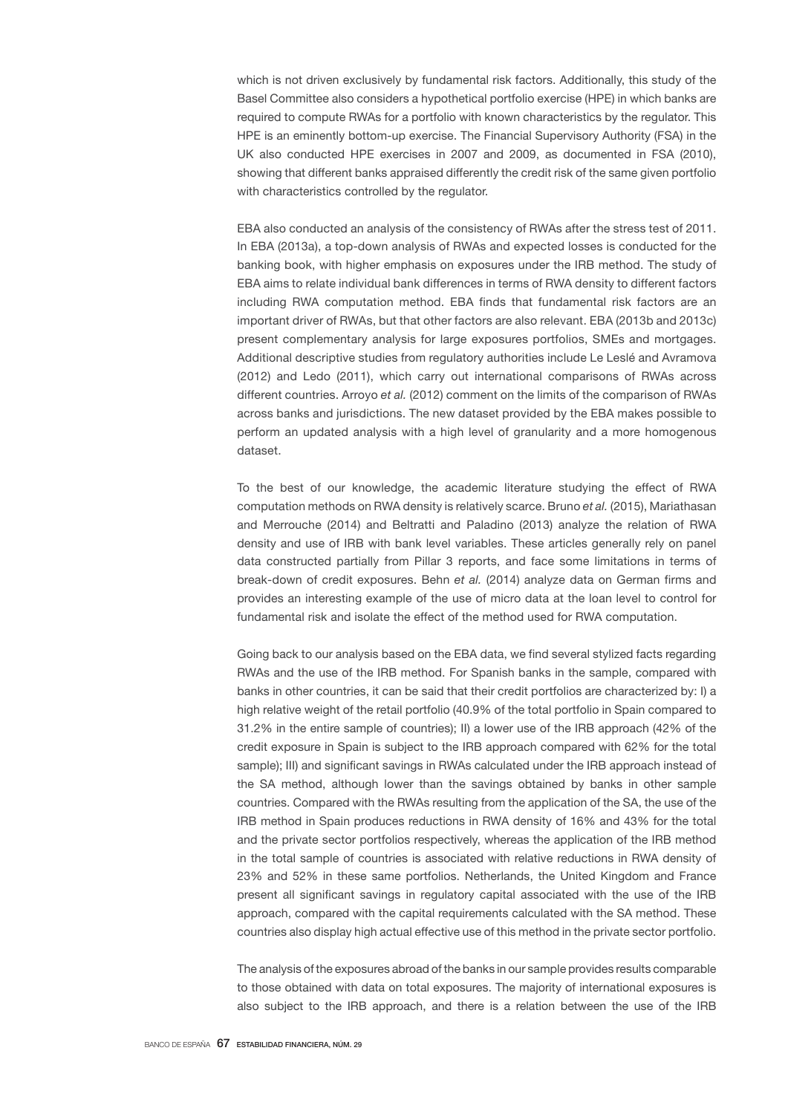which is not driven exclusively by fundamental risk factors. Additionally, this study of the Basel Committee also considers a hypothetical portfolio exercise (HPE) in which banks are required to compute RWAs for a portfolio with known characteristics by the regulator. This HPE is an eminently bottom-up exercise. The Financial Supervisory Authority (FSA) in the UK also conducted HPE exercises in 2007 and 2009, as documented in FSA (2010), showing that different banks appraised differently the credit risk of the same given portfolio with characteristics controlled by the regulator.

EBA also conducted an analysis of the consistency of RWAs after the stress test of 2011. In EBA (2013a), a top-down analysis of RWAs and expected losses is conducted for the banking book, with higher emphasis on exposures under the IRB method. The study of EBA aims to relate individual bank differences in terms of RWA density to different factors including RWA computation method. EBA finds that fundamental risk factors are an important driver of RWAs, but that other factors are also relevant. EBA (2013b and 2013c) present complementary analysis for large exposures portfolios, SMEs and mortgages. Additional descriptive studies from regulatory authorities include Le Leslé and Avramova (2012) and Ledo (2011), which carry out international comparisons of RWAs across different countries. Arroyo *et al.* (2012) comment on the limits of the comparison of RWAs across banks and jurisdictions. The new dataset provided by the EBA makes possible to perform an updated analysis with a high level of granularity and a more homogenous dataset.

To the best of our knowledge, the academic literature studying the effect of RWA computation methods on RWA density is relatively scarce. Bruno *et al.* (2015), Mariathasan and Merrouche (2014) and Beltratti and Paladino (2013) analyze the relation of RWA density and use of IRB with bank level variables. These articles generally rely on panel data constructed partially from Pillar 3 reports, and face some limitations in terms of break-down of credit exposures. Behn *et al.* (2014) analyze data on German firms and provides an interesting example of the use of micro data at the loan level to control for fundamental risk and isolate the effect of the method used for RWA computation.

Going back to our analysis based on the EBA data, we find several stylized facts regarding RWAs and the use of the IRB method. For Spanish banks in the sample, compared with banks in other countries, it can be said that their credit portfolios are characterized by: I) a high relative weight of the retail portfolio (40.9% of the total portfolio in Spain compared to 31.2% in the entire sample of countries); II) a lower use of the IRB approach (42% of the credit exposure in Spain is subject to the IRB approach compared with 62% for the total sample); III) and significant savings in RWAs calculated under the IRB approach instead of the SA method, although lower than the savings obtained by banks in other sample countries. Compared with the RWAs resulting from the application of the SA, the use of the IRB method in Spain produces reductions in RWA density of 16% and 43% for the total and the private sector portfolios respectively, whereas the application of the IRB method in the total sample of countries is associated with relative reductions in RWA density of 23% and 52% in these same portfolios. Netherlands, the United Kingdom and France present all significant savings in regulatory capital associated with the use of the IRB approach, compared with the capital requirements calculated with the SA method. These countries also display high actual effective use of this method in the private sector portfolio.

The analysis of the exposures abroad of the banks in our sample provides results comparable to those obtained with data on total exposures. The majority of international exposures is also subject to the IRB approach, and there is a relation between the use of the IRB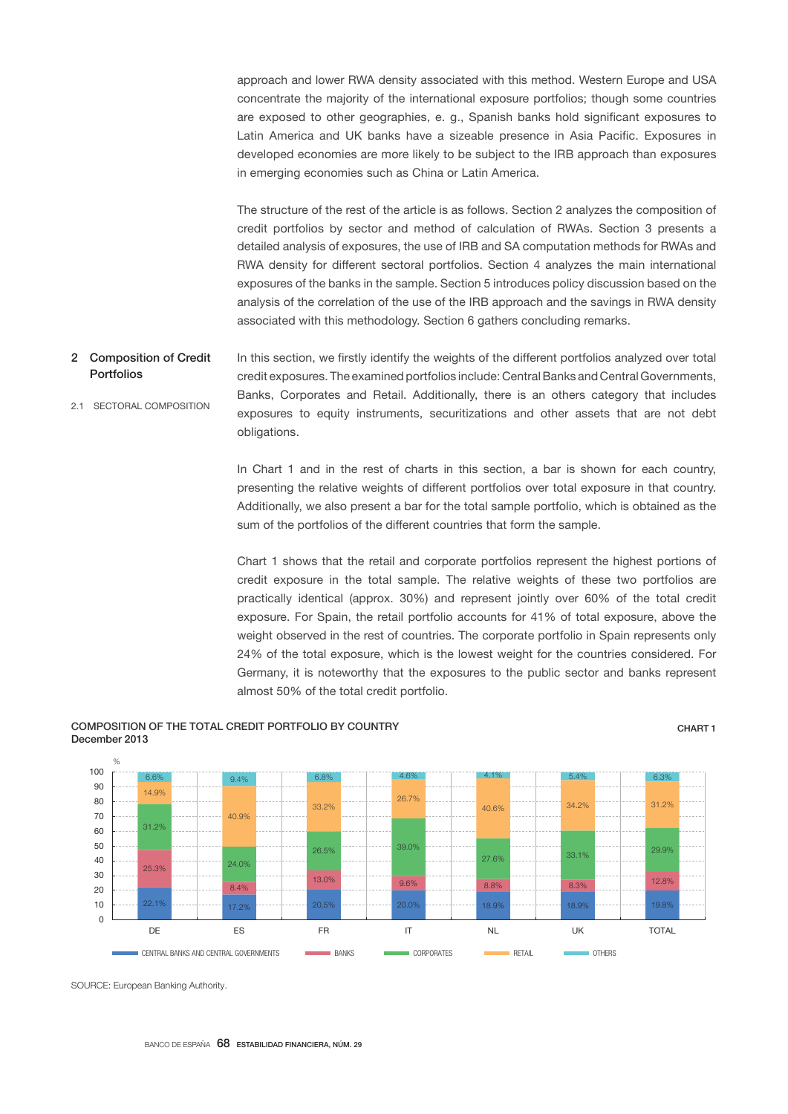approach and lower RWA density associated with this method. Western Europe and USA concentrate the majority of the international exposure portfolios; though some countries are exposed to other geographies, e. g., Spanish banks hold significant exposures to Latin America and UK banks have a sizeable presence in Asia Pacific. Exposures in developed economies are more likely to be subject to the IRB approach than exposures in emerging economies such as China or Latin America.

The structure of the rest of the article is as follows. Section 2 analyzes the composition of credit portfolios by sector and method of calculation of RWAs. Section 3 presents a detailed analysis of exposures, the use of IRB and SA computation methods for RWAs and RWA density for different sectoral portfolios. Section 4 analyzes the main international exposures of the banks in the sample. Section 5 introduces policy discussion based on the analysis of the correlation of the use of the IRB approach and the savings in RWA density associated with this methodology. Section 6 gathers concluding remarks.

In this section, we firstly identify the weights of the different portfolios analyzed over total credit exposures. The examined portfolios include: Central Banks and Central Governments, Banks, Corporates and Retail. Additionally, there is an others category that includes exposures to equity instruments, securitizations and other assets that are not debt obligations. 2 Composition of Credit Portfolios 2.1 SECTORAL COMPOSITION

> In Chart 1 and in the rest of charts in this section, a bar is shown for each country, presenting the relative weights of different portfolios over total exposure in that country. Additionally, we also present a bar for the total sample portfolio, which is obtained as the sum of the portfolios of the different countries that form the sample.

> Chart 1 shows that the retail and corporate portfolios represent the highest portions of credit exposure in the total sample. The relative weights of these two portfolios are practically identical (approx. 30%) and represent jointly over 60% of the total credit exposure. For Spain, the retail portfolio accounts for 41% of total exposure, above the weight observed in the rest of countries. The corporate portfolio in Spain represents only 24% of the total exposure, which is the lowest weight for the countries considered. For Germany, it is noteworthy that the exposures to the public sector and banks represent almost 50% of the total credit portfolio.

### COMPOSITION OF THE TOTAL CREDIT PORTFOLIO BY COUNTRY December 2013

### CHART 1



SOURCE: European Banking Authority.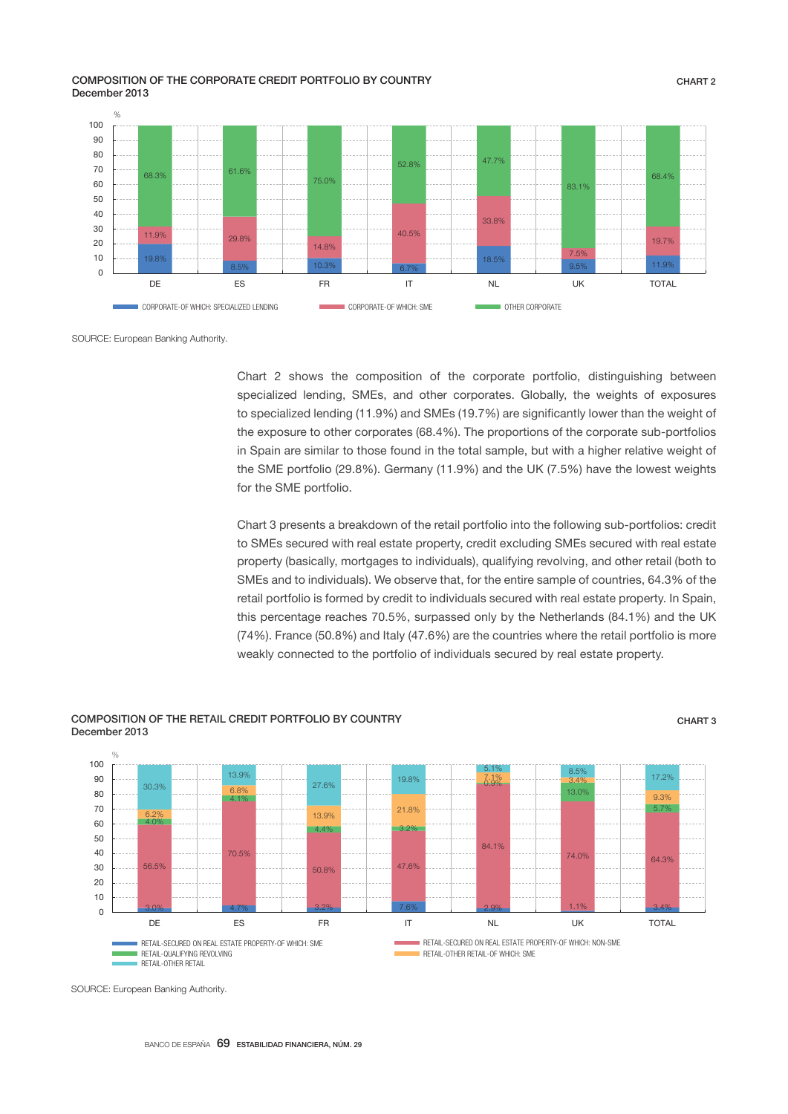COMPOSITION OF THE CORPORATE CREDIT PORTFOLIO BY COUNTRY December 2013



SOURCE: European Banking Authority.

Chart 2 shows the composition of the corporate portfolio, distinguishing between specialized lending, SMEs, and other corporates. Globally, the weights of exposures to specialized lending (11.9%) and SMEs (19.7%) are significantly lower than the weight of the exposure to other corporates (68.4%). The proportions of the corporate sub-portfolios in Spain are similar to those found in the total sample, but with a higher relative weight of the SME portfolio (29.8%). Germany (11.9%) and the UK (7.5%) have the lowest weights for the SME portfolio.

Chart 3 presents a breakdown of the retail portfolio into the following sub-portfolios: credit to SMEs secured with real estate property, credit excluding SMEs secured with real estate property (basically, mortgages to individuals), qualifying revolving, and other retail (both to SMEs and to individuals). We observe that, for the entire sample of countries, 64.3% of the retail portfolio is formed by credit to individuals secured with real estate property. In Spain, this percentage reaches 70.5%, surpassed only by the Netherlands (84.1%) and the UK (74%). France (50.8%) and Italy (47.6%) are the countries where the retail portfolio is more weakly connected to the portfolio of individuals secured by real estate property.



### COMPOSITION OF THE RETAIL CREDIT PORTFOLIO BY COUNTRY December 2013

SOURCE: European Banking Authority.

CHART 3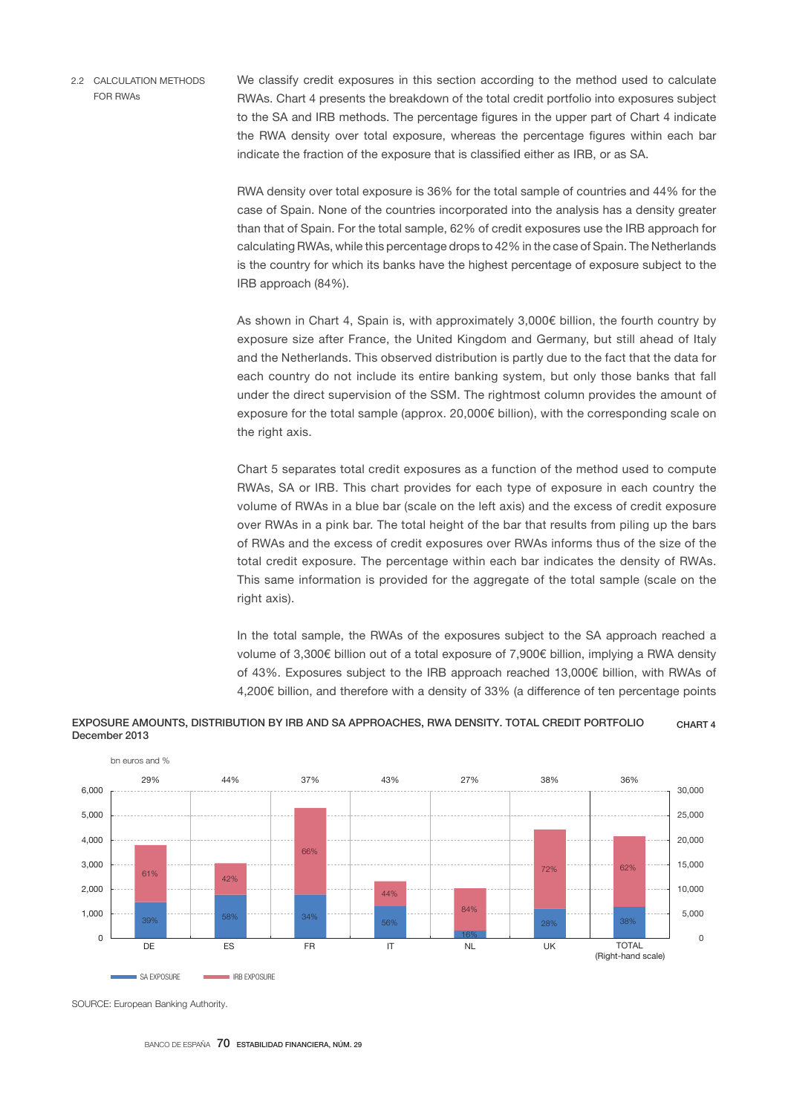2.2 CALCULATION METHODS FOR RWAs

We classify credit exposures in this section according to the method used to calculate RWAs. Chart 4 presents the breakdown of the total credit portfolio into exposures subject to the SA and IRB methods. The percentage figures in the upper part of Chart 4 indicate the RWA density over total exposure, whereas the percentage figures within each bar indicate the fraction of the exposure that is classified either as IRB, or as SA.

RWA density over total exposure is 36% for the total sample of countries and 44% for the case of Spain. None of the countries incorporated into the analysis has a density greater than that of Spain. For the total sample, 62% of credit exposures use the IRB approach for calculating RWAs, while this percentage drops to 42% in the case of Spain. The Netherlands is the country for which its banks have the highest percentage of exposure subject to the IRB approach (84%).

As shown in Chart 4, Spain is, with approximately 3,000€ billion, the fourth country by exposure size after France, the United Kingdom and Germany, but still ahead of Italy and the Netherlands. This observed distribution is partly due to the fact that the data for each country do not include its entire banking system, but only those banks that fall under the direct supervision of the SSM. The rightmost column provides the amount of exposure for the total sample (approx. 20,000€ billion), with the corresponding scale on the right axis.

Chart 5 separates total credit exposures as a function of the method used to compute RWAs, SA or IRB. This chart provides for each type of exposure in each country the volume of RWAs in a blue bar (scale on the left axis) and the excess of credit exposure over RWAs in a pink bar. The total height of the bar that results from piling up the bars of RWAs and the excess of credit exposures over RWAs informs thus of the size of the total credit exposure. The percentage within each bar indicates the density of RWAs. This same information is provided for the aggregate of the total sample (scale on the right axis).

In the total sample, the RWAs of the exposures subject to the SA approach reached a volume of 3,300€ billion out of a total exposure of 7,900€ billion, implying a RWA density of 43%. Exposures subject to the IRB approach reached 13,000€ billion, with RWAs of 4,200€ billion, and therefore with a density of 33% (a difference of ten percentage points



### EXPOSURE AMOUNTS, DISTRIBUTION BY IRB AND SA APPROACHES, RWA DENSITY. TOTAL CREDIT PORTFOLIO December 2013 CHART 4

SOURCE: European Banking Authority.

BANCO DE ESPAÑA 70 ESTABILIDAD FINANCIERA, NÚM. 29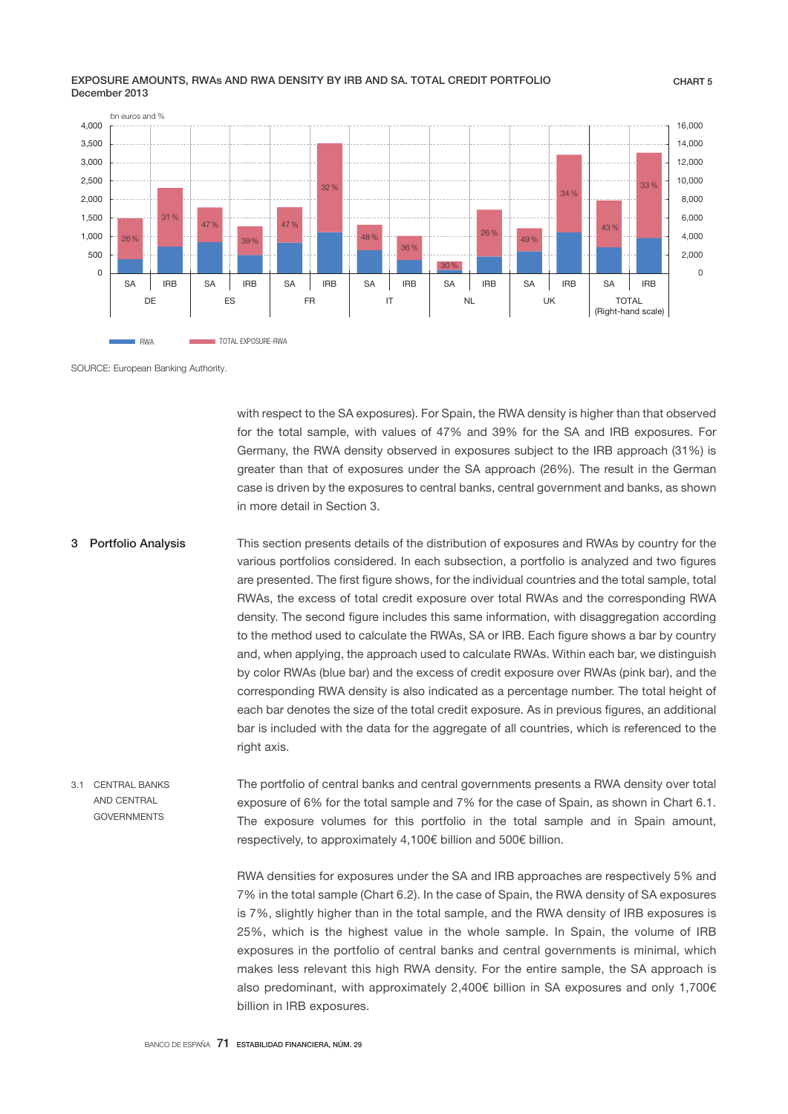



SOURCE: European Banking Authority.

with respect to the SA exposures). For Spain, the RWA density is higher than that observed for the total sample, with values of 47% and 39% for the SA and IRB exposures. For Germany, the RWA density observed in exposures subject to the IRB approach (31%) is greater than that of exposures under the SA approach (26%). The result in the German case is driven by the exposures to central banks, central government and banks, as shown in more detail in Section 3.

- This section presents details of the distribution of exposures and RWAs by country for the various portfolios considered. In each subsection, a portfolio is analyzed and two figures are presented. The first figure shows, for the individual countries and the total sample, total RWAs, the excess of total credit exposure over total RWAs and the corresponding RWA density. The second figure includes this same information, with disaggregation according to the method used to calculate the RWAs, SA or IRB. Each figure shows a bar by country and, when applying, the approach used to calculate RWAs. Within each bar, we distinguish by color RWAs (blue bar) and the excess of credit exposure over RWAs (pink bar), and the corresponding RWA density is also indicated as a percentage number. The total height of each bar denotes the size of the total credit exposure. As in previous figures, an additional bar is included with the data for the aggregate of all countries, which is referenced to the right axis. 3 Portfolio Analysis
- The portfolio of central banks and central governments presents a RWA density over total exposure of 6% for the total sample and 7% for the case of Spain, as shown in Chart 6.1. The exposure volumes for this portfolio in the total sample and in Spain amount, respectively, to approximately 4,100€ billion and 500€ billion. 3.1 CENTRAL BANKS AND CENTRAL GOVERNMENTS

RWA densities for exposures under the SA and IRB approaches are respectively 5% and 7% in the total sample (Chart 6.2). In the case of Spain, the RWA density of SA exposures is 7%, slightly higher than in the total sample, and the RWA density of IRB exposures is 25%, which is the highest value in the whole sample. In Spain, the volume of IRB exposures in the portfolio of central banks and central governments is minimal, which makes less relevant this high RWA density. For the entire sample, the SA approach is also predominant, with approximately 2,400€ billion in SA exposures and only 1,700€ billion in IRB exposures.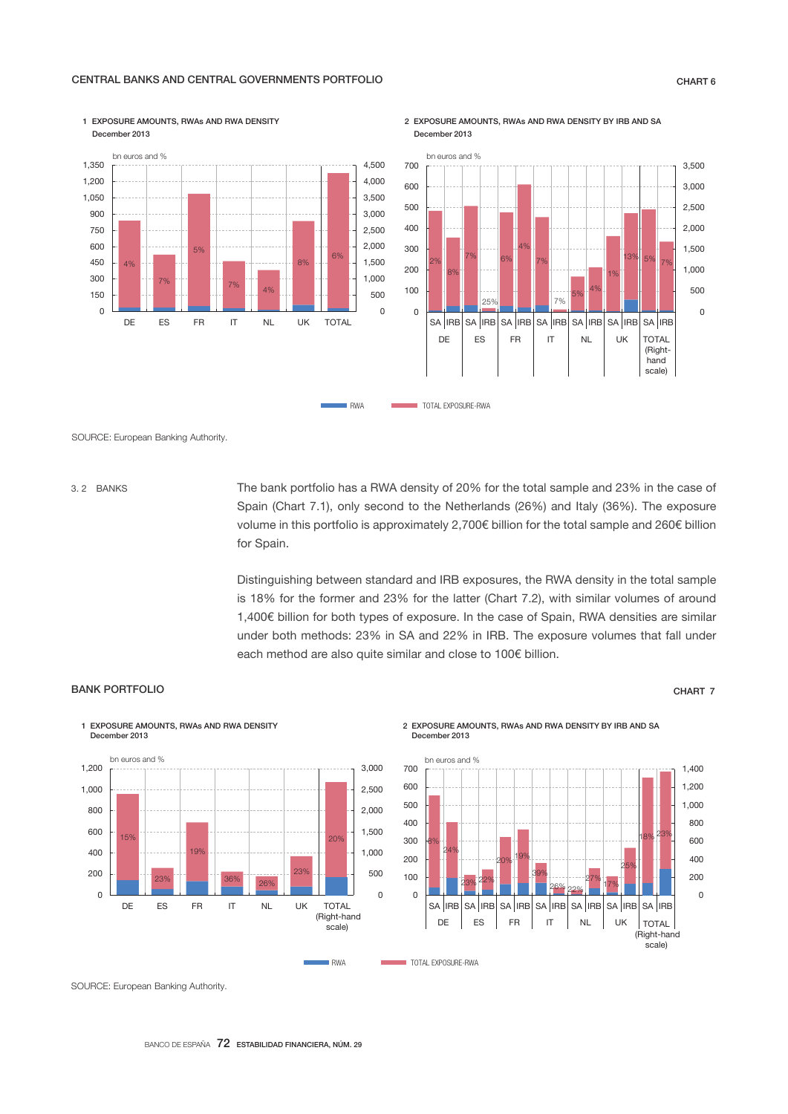## CENTRAL BANKS AND CENTRAL GOVERNMENTS PORTFOLIO **CHART 6** CHART 6

1 EXPOSURE AMOUNTS, RWAs AND RWA DENSITY



2 EXPOSURE AMOUNTS, RWAs AND RWA DENSITY BY IRB AND SA December 2013



SOURCE: European Banking Authority.

3. 2 BANKS

The bank portfolio has a RWA density of 20% for the total sample and 23% in the case of Spain (Chart 7.1), only second to the Netherlands (26%) and Italy (36%). The exposure volume in this portfolio is approximately 2,700€ billion for the total sample and 260€ billion for Spain.

Distinguishing between standard and IRB exposures, the RWA density in the total sample is 18% for the former and 23% for the latter (Chart 7.2), with similar volumes of around 1,400€ billion for both types of exposure. In the case of Spain, RWA densities are similar under both methods: 23% in SA and 22% in IRB. The exposure volumes that fall under each method are also quite similar and close to 100€ billion.

### BANK PORTFOLIO CHART 7

ember 2013

1 EXPOSURE AMOUNTS, RWAs AND RWA DENSITY

#### 15% วจ 19% 36% 26% 23%  $200$  $\overline{0}$ 500 1,000 1,500 2,000 2,500 3,000  $\overline{0}$ 200 400 600 800 1,000 1,200 DE ES FR IT NL UK bn euros and % TOTAL (Right-hand scale)

2 EXPOSURE AMOUNTS, RWAs AND RWA DENSITY BY IRB AND SA December 2013



SOURCE: European Banking Authority.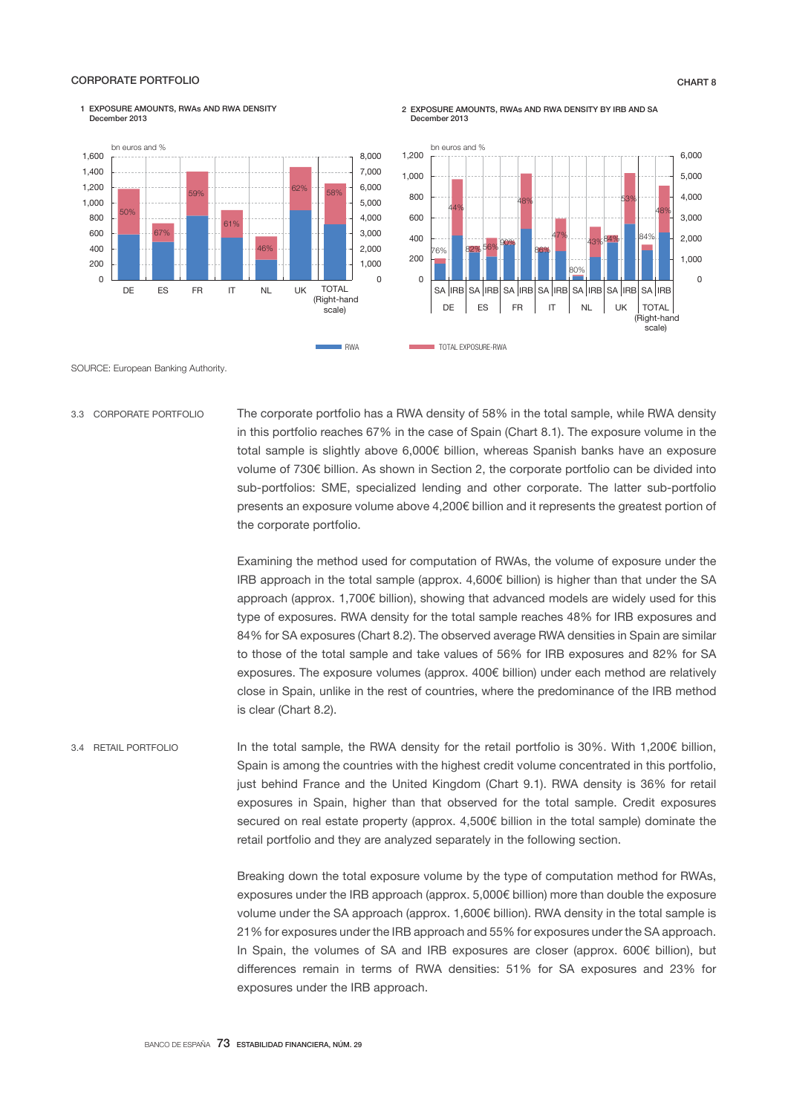### CORPORATE PORTFOLIO CHART 8

ember 2013

1 EXPOSURE AMOUNTS, RWAs AND RWA DENSITY

#### 50% 67% 59%  $61'$ 16% 62% 0 1,000 2,000 3,000 4,000 5,000 6,000 7,000 8,000 0 200 400 600 800 1,000 1,200 1,400 1,600 DE ES FR IT NL UK bn euros and % TOTAL (Right-hand scale) 58%





SOURCE: European Banking Authority.

3.3 CORPORATE PORTFOLIO

The corporate portfolio has a RWA density of 58% in the total sample, while RWA density in this portfolio reaches 67% in the case of Spain (Chart 8.1). The exposure volume in the total sample is slightly above 6,000€ billion, whereas Spanish banks have an exposure volume of 730€ billion. As shown in Section 2, the corporate portfolio can be divided into sub-portfolios: SME, specialized lending and other corporate. The latter sub-portfolio presents an exposure volume above 4,200€ billion and it represents the greatest portion of the corporate portfolio.

Examining the method used for computation of RWAs, the volume of exposure under the IRB approach in the total sample (approx. 4,600€ billion) is higher than that under the SA approach (approx. 1,700€ billion), showing that advanced models are widely used for this type of exposures. RWA density for the total sample reaches 48% for IRB exposures and 84% for SA exposures (Chart 8.2). The observed average RWA densities in Spain are similar to those of the total sample and take values of 56% for IRB exposures and 82% for SA exposures. The exposure volumes (approx. 400€ billion) under each method are relatively close in Spain, unlike in the rest of countries, where the predominance of the IRB method is clear (Chart 8.2).

In the total sample, the RWA density for the retail portfolio is 30%. With 1,200€ billion, Spain is among the countries with the highest credit volume concentrated in this portfolio, just behind France and the United Kingdom (Chart 9.1). RWA density is 36% for retail exposures in Spain, higher than that observed for the total sample. Credit exposures secured on real estate property (approx. 4,500€ billion in the total sample) dominate the retail portfolio and they are analyzed separately in the following section. 3.4 RETAIL PORTFOLIO

> Breaking down the total exposure volume by the type of computation method for RWAs, exposures under the IRB approach (approx. 5,000€ billion) more than double the exposure volume under the SA approach (approx. 1,600€ billion). RWA density in the total sample is 21% for exposures under the IRB approach and 55% for exposures under the SA approach. In Spain, the volumes of SA and IRB exposures are closer (approx. 600€ billion), but differences remain in terms of RWA densities: 51% for SA exposures and 23% for exposures under the IRB approach.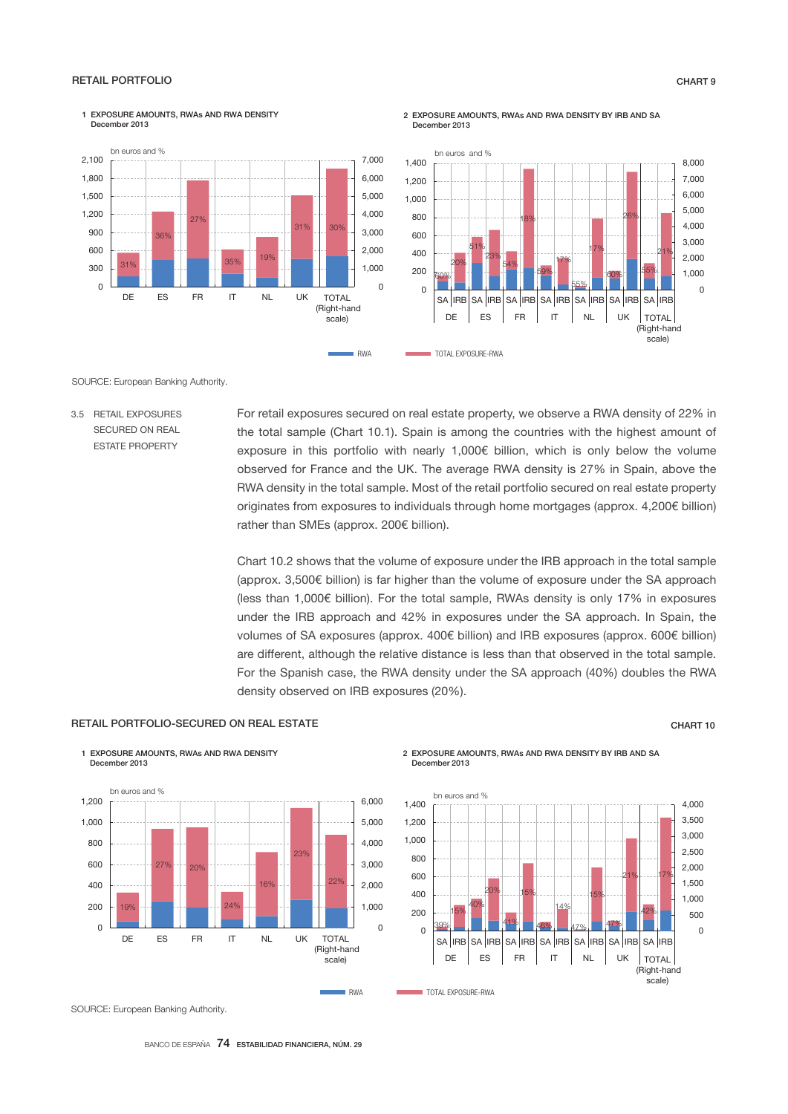### RETAIL PORTFOLIO CHART 9

December 2013

1 EXPOSURE AMOUNTS, RWAs AND RWA DENSITY

#### 31% 36% 27% 35% 19%  $31<sup>°</sup>$  $\Omega$ 1,000 2,000 3,000 4,000 5,000 6,000 7,000  $\Omega$ 300 600  $900$ 1,200 1,500 1,800 2,100 DE ES FR IT NL UK bn euros and % TOTAL (Right-hand scale)





SOURCE: European Banking Authority.

3.5 RETAIL EXPOSURES SECURED ON REAL ESTATE PROPERTY

For retail exposures secured on real estate property, we observe a RWA density of 22% in the total sample (Chart 10.1). Spain is among the countries with the highest amount of exposure in this portfolio with nearly 1,000€ billion, which is only below the volume observed for France and the UK. The average RWA density is 27% in Spain, above the RWA density in the total sample. Most of the retail portfolio secured on real estate property originates from exposures to individuals through home mortgages (approx. 4,200€ billion) rather than SMEs (approx. 200€ billion).

Chart 10.2 shows that the volume of exposure under the IRB approach in the total sample (approx. 3,500€ billion) is far higher than the volume of exposure under the SA approach (less than 1,000€ billion). For the total sample, RWAs density is only 17% in exposures under the IRB approach and 42% in exposures under the SA approach. In Spain, the volumes of SA exposures (approx. 400€ billion) and IRB exposures (approx. 600€ billion) are different, although the relative distance is less than that observed in the total sample. For the Spanish case, the RWA density under the SA approach (40%) doubles the RWA density observed on IRB exposures (20%).

### RETAIL PORTFOLIO-SECURED ON REAL ESTATE CHART 10 CHART 10

1 EXPOSURE AMOUNTS, RWAs AND RWA DENSITY



2 EXPOSURE AMOUNTS, RWAs AND RWA DENSITY BY IRB AND SA December 2013



SOURCE: European Banking Authority.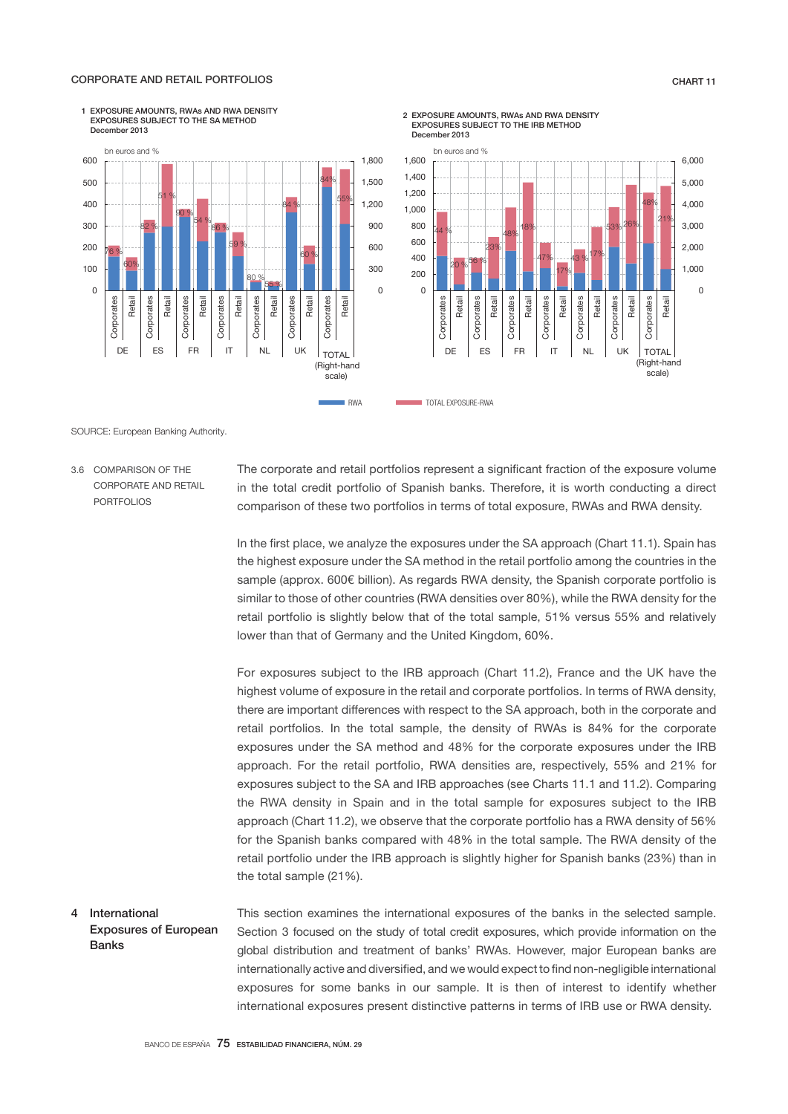### CORPORATE AND RETAIL PORTFOLIOS CHART 11

 $\Omega$ 1,000 2,000 3,000 4,000 5,000 6,000





SOURCE: European Banking Authority.

3.6 COMPARISON OF THE CORPORATE AND RETAIL PORTFOLIOS

The corporate and retail portfolios represent a significant fraction of the exposure volume in the total credit portfolio of Spanish banks. Therefore, it is worth conducting a direct comparison of these two portfolios in terms of total exposure, RWAs and RWA density.

47% 17%

> Corporates Retail Corporates Retail **Corporates** Retail **Corporates** Retail

Corporates

 $43\frac{9}{6}^{17\%}$ 

Corporates

53% 26%

Corporates

48% 21%

(Right-hand scale)

Corporates

In the first place, we analyze the exposures under the SA approach (Chart 11.1). Spain has the highest exposure under the SA method in the retail portfolio among the countries in the sample (approx. 600€ billion). As regards RWA density, the Spanish corporate portfolio is similar to those of other countries (RWA densities over 80%), while the RWA density for the retail portfolio is slightly below that of the total sample, 51% versus 55% and relatively lower than that of Germany and the United Kingdom, 60%.

For exposures subject to the IRB approach (Chart 11.2), France and the UK have the highest volume of exposure in the retail and corporate portfolios. In terms of RWA density, there are important differences with respect to the SA approach, both in the corporate and retail portfolios. In the total sample, the density of RWAs is 84% for the corporate exposures under the SA method and 48% for the corporate exposures under the IRB approach. For the retail portfolio, RWA densities are, respectively, 55% and 21% for exposures subject to the SA and IRB approaches (see Charts 11.1 and 11.2). Comparing the RWA density in Spain and in the total sample for exposures subject to the IRB approach (Chart 11.2), we observe that the corporate portfolio has a RWA density of 56% for the Spanish banks compared with 48% in the total sample. The RWA density of the retail portfolio under the IRB approach is slightly higher for Spanish banks (23%) than in the total sample (21%).

This section examines the international exposures of the banks in the selected sample. Section 3 focused on the study of total credit exposures, which provide information on the global distribution and treatment of banks' RWAs. However, major European banks are internationally active and diversified, and we would expect to find non-negligible international exposures for some banks in our sample. It is then of interest to identify whether international exposures present distinctive patterns in terms of IRB use or RWA density. 4 International Exposures of European Banks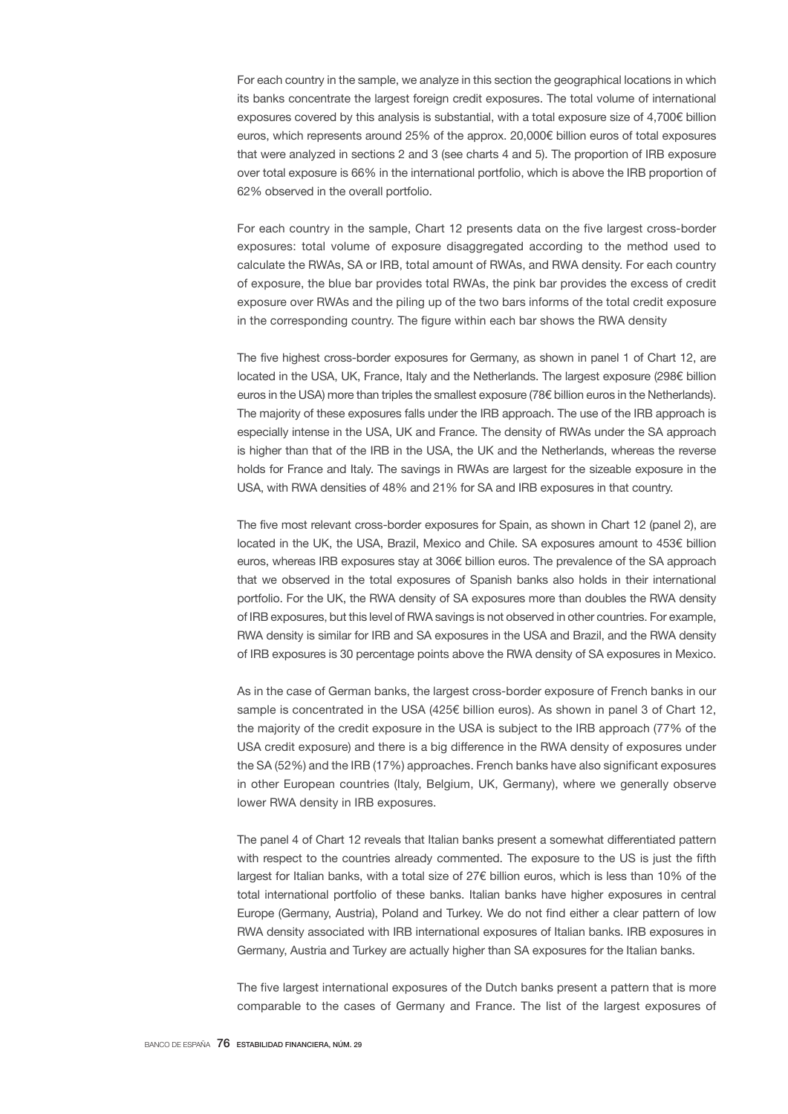For each country in the sample, we analyze in this section the geographical locations in which its banks concentrate the largest foreign credit exposures. The total volume of international exposures covered by this analysis is substantial, with a total exposure size of 4,700€ billion euros, which represents around 25% of the approx. 20,000€ billion euros of total exposures that were analyzed in sections 2 and 3 (see charts 4 and 5). The proportion of IRB exposure over total exposure is 66% in the international portfolio, which is above the IRB proportion of 62% observed in the overall portfolio.

For each country in the sample, Chart 12 presents data on the five largest cross-border exposures: total volume of exposure disaggregated according to the method used to calculate the RWAs, SA or IRB, total amount of RWAs, and RWA density. For each country of exposure, the blue bar provides total RWAs, the pink bar provides the excess of credit exposure over RWAs and the piling up of the two bars informs of the total credit exposure in the corresponding country. The figure within each bar shows the RWA density

The five highest cross-border exposures for Germany, as shown in panel 1 of Chart 12, are located in the USA, UK, France, Italy and the Netherlands. The largest exposure (298€ billion euros in the USA) more than triples the smallest exposure (78€ billion euros in the Netherlands). The majority of these exposures falls under the IRB approach. The use of the IRB approach is especially intense in the USA, UK and France. The density of RWAs under the SA approach is higher than that of the IRB in the USA, the UK and the Netherlands, whereas the reverse holds for France and Italy. The savings in RWAs are largest for the sizeable exposure in the USA, with RWA densities of 48% and 21% for SA and IRB exposures in that country.

The five most relevant cross-border exposures for Spain, as shown in Chart 12 (panel 2), are located in the UK, the USA, Brazil, Mexico and Chile. SA exposures amount to 453€ billion euros, whereas IRB exposures stay at 306€ billion euros. The prevalence of the SA approach that we observed in the total exposures of Spanish banks also holds in their international portfolio. For the UK, the RWA density of SA exposures more than doubles the RWA density of IRB exposures, but this level of RWA savings is not observed in other countries. For example, RWA density is similar for IRB and SA exposures in the USA and Brazil, and the RWA density of IRB exposures is 30 percentage points above the RWA density of SA exposures in Mexico.

As in the case of German banks, the largest cross-border exposure of French banks in our sample is concentrated in the USA (425€ billion euros). As shown in panel 3 of Chart 12, the majority of the credit exposure in the USA is subject to the IRB approach (77% of the USA credit exposure) and there is a big difference in the RWA density of exposures under the SA (52%) and the IRB (17%) approaches. French banks have also significant exposures in other European countries (Italy, Belgium, UK, Germany), where we generally observe lower RWA density in IRB exposures.

The panel 4 of Chart 12 reveals that Italian banks present a somewhat differentiated pattern with respect to the countries already commented. The exposure to the US is just the fifth largest for Italian banks, with a total size of 27€ billion euros, which is less than 10% of the total international portfolio of these banks. Italian banks have higher exposures in central Europe (Germany, Austria), Poland and Turkey. We do not find either a clear pattern of low RWA density associated with IRB international exposures of Italian banks. IRB exposures in Germany, Austria and Turkey are actually higher than SA exposures for the Italian banks.

The five largest international exposures of the Dutch banks present a pattern that is more comparable to the cases of Germany and France. The list of the largest exposures of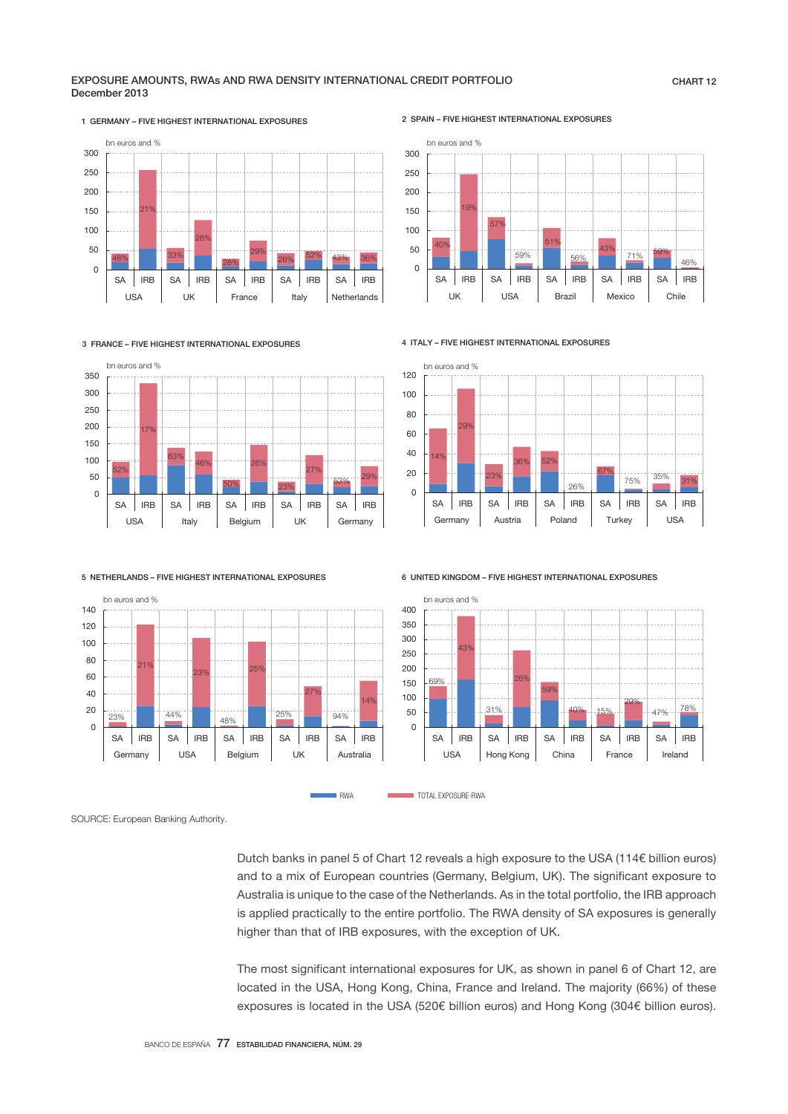### EXPOSURE AMOUNTS, RWAs AND RWA DENSITY INTERNATIONAL CREDIT PORTFOLIO December 2013





2 SPAIN – FIVE HIGHEST INTERNATIONAL EXPOSURES



3 FRANCE – FIVE HIGHEST INTERNATIONAL EXPOSURES



4 ITALY – FIVE HIGHEST INTERNATIONAL EXPOSURES





6 UNITED KINGDOM – FIVE HIGHEST INTERNATIONAL EXPOSURES



SOURCE: European Banking Authority.

Dutch banks in panel 5 of Chart 12 reveals a high exposure to the USA (114€ billion euros) and to a mix of European countries (Germany, Belgium, UK). The significant exposure to Australia is unique to the case of the Netherlands. As in the total portfolio, the IRB approach is applied practically to the entire portfolio. The RWA density of SA exposures is generally higher than that of IRB exposures, with the exception of UK.

The most significant international exposures for UK, as shown in panel 6 of Chart 12, are located in the USA, Hong Kong, China, France and Ireland. The majority (66%) of these exposures is located in the USA (520€ billion euros) and Hong Kong (304€ billion euros).

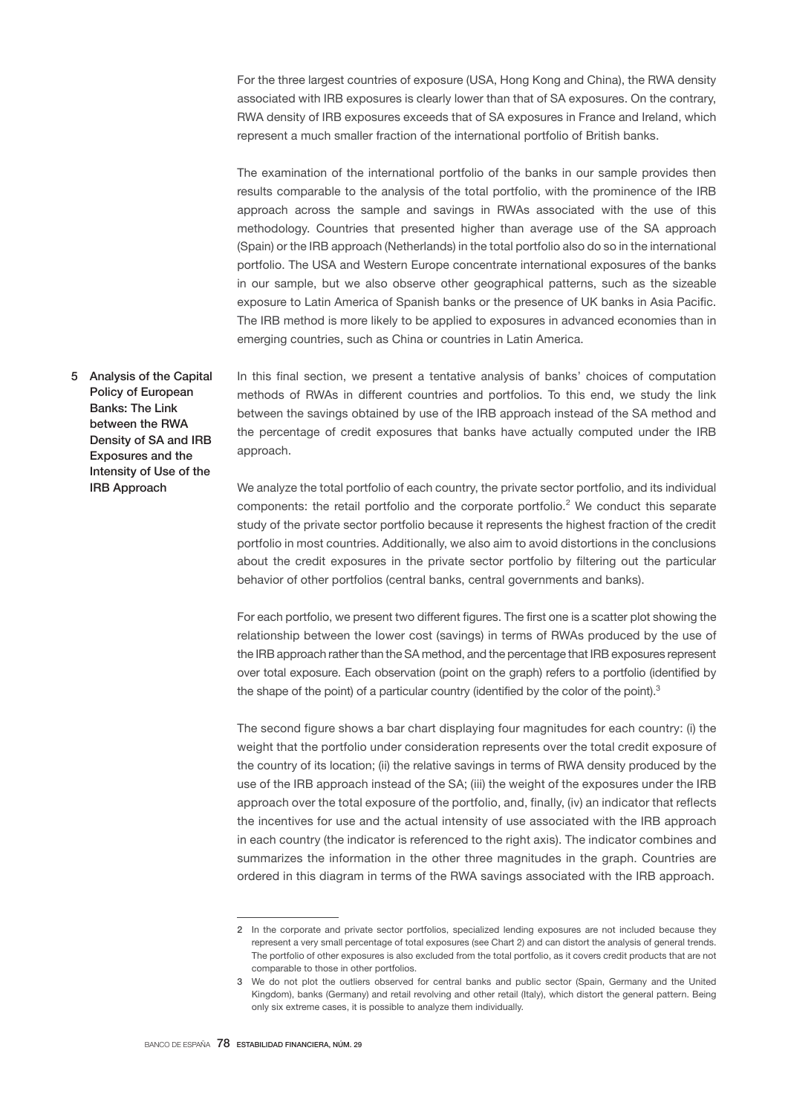For the three largest countries of exposure (USA, Hong Kong and China), the RWA density associated with IRB exposures is clearly lower than that of SA exposures. On the contrary, RWA density of IRB exposures exceeds that of SA exposures in France and Ireland, which represent a much smaller fraction of the international portfolio of British banks.

The examination of the international portfolio of the banks in our sample provides then results comparable to the analysis of the total portfolio, with the prominence of the IRB approach across the sample and savings in RWAs associated with the use of this methodology. Countries that presented higher than average use of the SA approach (Spain) or the IRB approach (Netherlands) in the total portfolio also do so in the international portfolio. The USA and Western Europe concentrate international exposures of the banks in our sample, but we also observe other geographical patterns, such as the sizeable exposure to Latin America of Spanish banks or the presence of UK banks in Asia Pacific. The IRB method is more likely to be applied to exposures in advanced economies than in emerging countries, such as China or countries in Latin America.

5 Analysis of the Capital Policy of European Banks: The Link between the RWA Density of SA and IRB Exposures and the Intensity of Use of the IRB Approach

In this final section, we present a tentative analysis of banks' choices of computation methods of RWAs in different countries and portfolios. To this end, we study the link between the savings obtained by use of the IRB approach instead of the SA method and the percentage of credit exposures that banks have actually computed under the IRB approach.

We analyze the total portfolio of each country, the private sector portfolio, and its individual components: the retail portfolio and the corporate portfolio.<sup>2</sup> We conduct this separate study of the private sector portfolio because it represents the highest fraction of the credit portfolio in most countries. Additionally, we also aim to avoid distortions in the conclusions about the credit exposures in the private sector portfolio by filtering out the particular behavior of other portfolios (central banks, central governments and banks).

For each portfolio, we present two different figures. The first one is a scatter plot showing the relationship between the lower cost (savings) in terms of RWAs produced by the use of the IRB approach rather than the SA method, and the percentage that IRB exposures represent over total exposure. Each observation (point on the graph) refers to a portfolio (identified by the shape of the point) of a particular country (identified by the color of the point).<sup>3</sup>

The second figure shows a bar chart displaying four magnitudes for each country: (i) the weight that the portfolio under consideration represents over the total credit exposure of the country of its location; (ii) the relative savings in terms of RWA density produced by the use of the IRB approach instead of the SA; (iii) the weight of the exposures under the IRB approach over the total exposure of the portfolio, and, finally, (iv) an indicator that reflects the incentives for use and the actual intensity of use associated with the IRB approach in each country (the indicator is referenced to the right axis). The indicator combines and summarizes the information in the other three magnitudes in the graph. Countries are ordered in this diagram in terms of the RWA savings associated with the IRB approach.

<sup>2</sup> In the corporate and private sector portfolios, specialized lending exposures are not included because they represent a very small percentage of total exposures (see Chart 2) and can distort the analysis of general trends. The portfolio of other exposures is also excluded from the total portfolio, as it covers credit products that are not comparable to those in other portfolios.

<sup>3</sup> We do not plot the outliers observed for central banks and public sector (Spain, Germany and the United Kingdom), banks (Germany) and retail revolving and other retail (Italy), which distort the general pattern. Being only six extreme cases, it is possible to analyze them individually.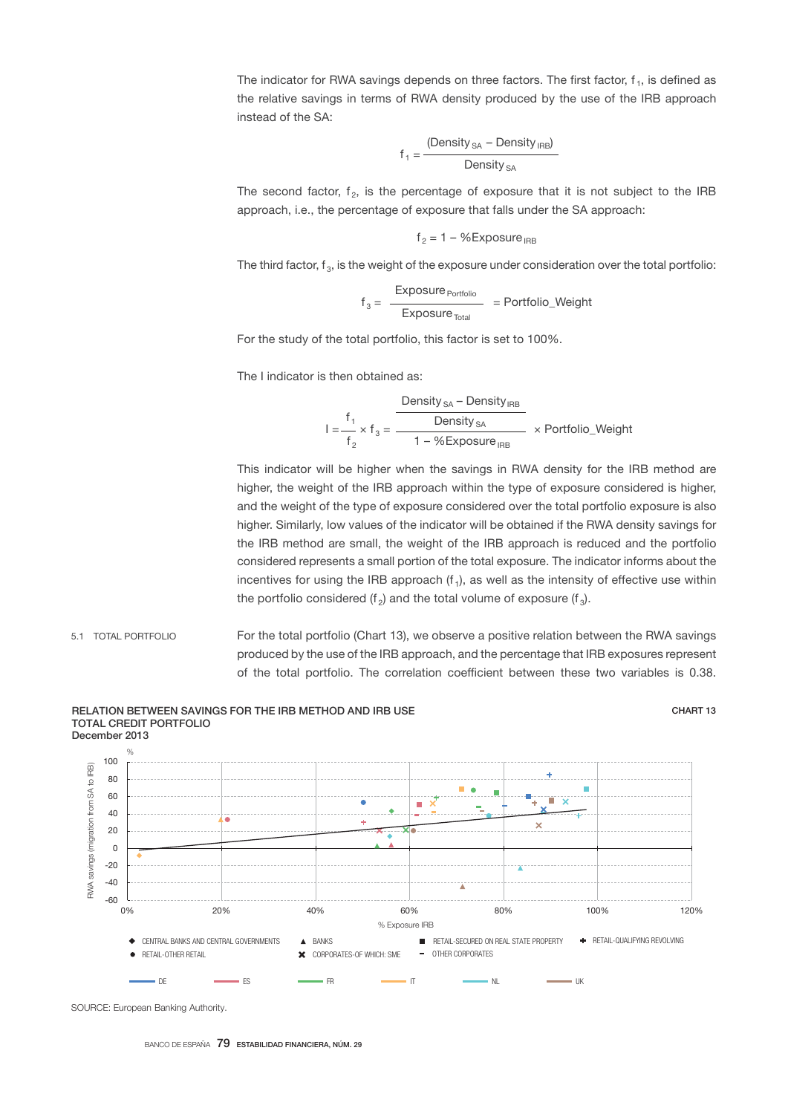The indicator for RWA savings depends on three factors. The first factor,  $f_1$ , is defined as the relative savings in terms of RWA density produced by the use of the IRB approach instead of the SA:

$$
f_1 = \frac{\left(Density_{SA} - Density_{IRB}\right)}{Density_{SA}}
$$

The second factor,  $f_2$ , is the percentage of exposure that it is not subject to the IRB approach, i.e., the percentage of exposure that falls under the SA approach:

$$
f_2 = 1 - %Exposure_{IRB}
$$

The third factor,  $f_3$ , is the weight of the exposure under consideration over the total portfolio:

$$
f_3 = \frac{Exposure_{\text{Portfolio}}}{Exposure_{\text{Total}}} = \text{Portfolio\_Weight}
$$

For the study of the total portfolio, this factor is set to 100%.

The I indicator is then obtained as:

$$
I = \frac{f_1}{f_2} \times f_3 = \frac{\frac{\text{Density}_{SA} - \text{Density}_{IRB}}{\text{Density}_{SA}}}{1 - \% \text{Exposure}_{IRB}} \times \text{Portfolio\_Weight}
$$

This indicator will be higher when the savings in RWA density for the IRB method are higher, the weight of the IRB approach within the type of exposure considered is higher, and the weight of the type of exposure considered over the total portfolio exposure is also higher. Similarly, low values of the indicator will be obtained if the RWA density savings for the IRB method are small, the weight of the IRB approach is reduced and the portfolio considered represents a small portion of the total exposure. The indicator informs about the incentives for using the IRB approach  $(f_1)$ , as well as the intensity of effective use within the portfolio considered (f<sub>2</sub>) and the total volume of exposure (f<sub>3</sub>).

For the total portfolio (Chart 13), we observe a positive relation between the RWA savings produced by the use of the IRB approach, and the percentage that IRB exposures represent of the total portfolio. The correlation coefficient between these two variables is 0.38. 5.1 TOTAL PORTFOLIO



BANCO DE ESPAÑA 79 ESTABILIDAD FINANCIERA, NÚM. 29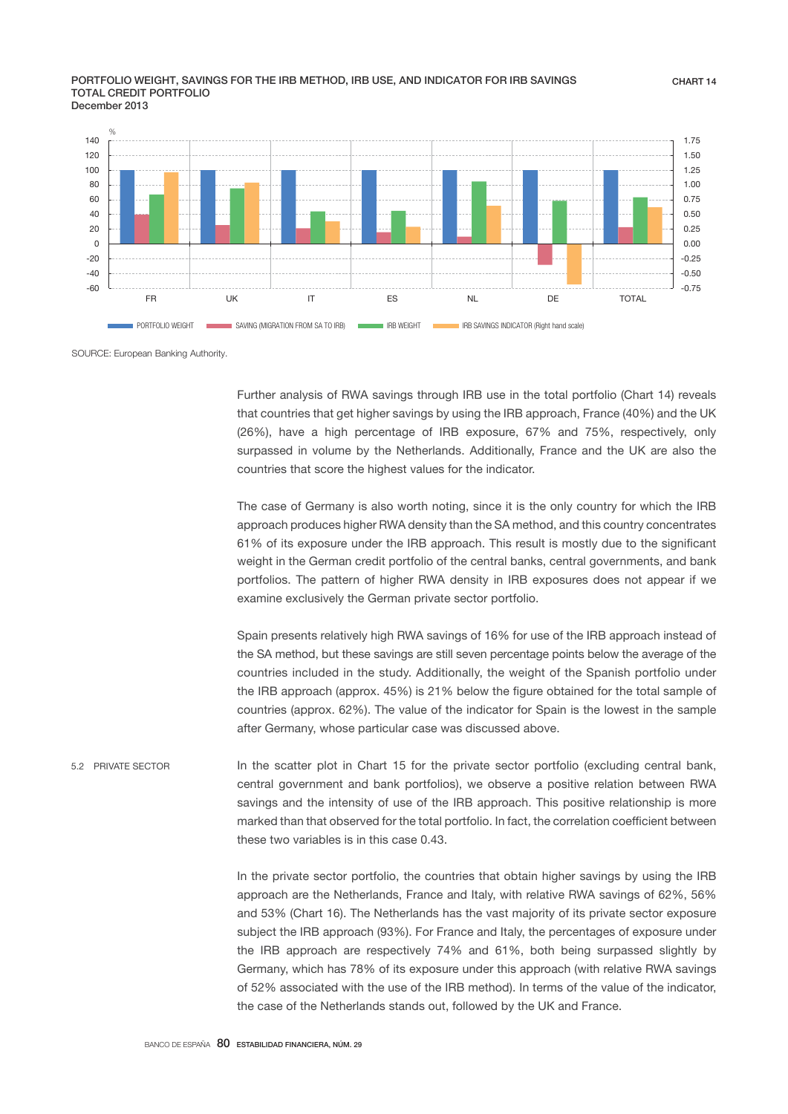### PORTFOLIO WEIGHT, SAVINGS FOR THE IRB METHOD, IRB USE, AND INDICATOR FOR IRB SAVINGS TOTAL CREDIT PORTFOLIO December 2013



SOURCE: European Banking Authority.

Further analysis of RWA savings through IRB use in the total portfolio (Chart 14) reveals that countries that get higher savings by using the IRB approach, France (40%) and the UK (26%), have a high percentage of IRB exposure, 67% and 75%, respectively, only surpassed in volume by the Netherlands. Additionally, France and the UK are also the countries that score the highest values for the indicator.

The case of Germany is also worth noting, since it is the only country for which the IRB approach produces higher RWA density than the SA method, and this country concentrates 61% of its exposure under the IRB approach. This result is mostly due to the significant weight in the German credit portfolio of the central banks, central governments, and bank portfolios. The pattern of higher RWA density in IRB exposures does not appear if we examine exclusively the German private sector portfolio.

Spain presents relatively high RWA savings of 16% for use of the IRB approach instead of the SA method, but these savings are still seven percentage points below the average of the countries included in the study. Additionally, the weight of the Spanish portfolio under the IRB approach (approx. 45%) is 21% below the figure obtained for the total sample of countries (approx. 62%). The value of the indicator for Spain is the lowest in the sample after Germany, whose particular case was discussed above.

In the scatter plot in Chart 15 for the private sector portfolio (excluding central bank, central government and bank portfolios), we observe a positive relation between RWA savings and the intensity of use of the IRB approach. This positive relationship is more marked than that observed for the total portfolio. In fact, the correlation coefficient between these two variables is in this case 0.43. 5.2 PRIVATE SECTOR

> In the private sector portfolio, the countries that obtain higher savings by using the IRB approach are the Netherlands, France and Italy, with relative RWA savings of 62%, 56% and 53% (Chart 16). The Netherlands has the vast majority of its private sector exposure subject the IRB approach (93%). For France and Italy, the percentages of exposure under the IRB approach are respectively 74% and 61%, both being surpassed slightly by Germany, which has 78% of its exposure under this approach (with relative RWA savings of 52% associated with the use of the IRB method). In terms of the value of the indicator, the case of the Netherlands stands out, followed by the UK and France.

CHART 14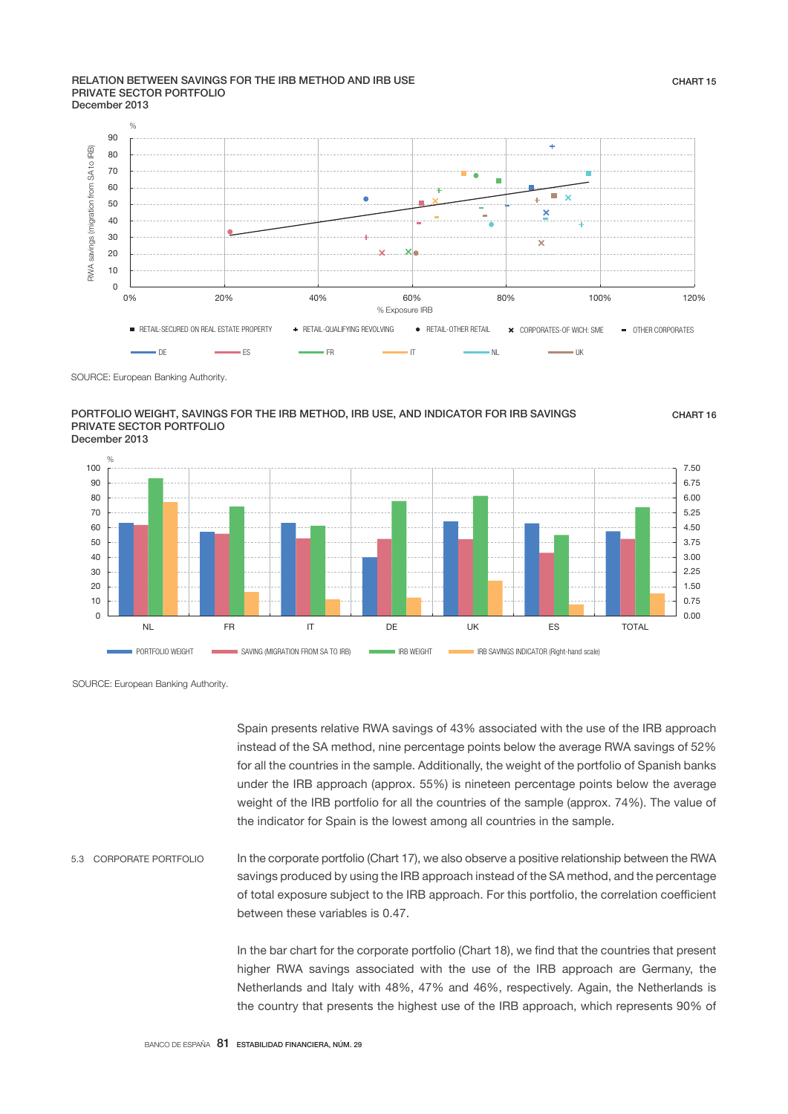### RELATION BETWEEN SAVINGS FOR THE IRB METHOD AND IRB USE PRIVATE SECTOR PORTFOLIO December 2013



### PORTFOLIO WEIGHT, SAVINGS FOR THE IRB METHOD, IRB USE, AND INDICATOR FOR IRB SAVINGS PRIVATE SECTOR PORTFOLIO December 2013

CHART 16



SOURCE: European Banking Authority.

Spain presents relative RWA savings of 43% associated with the use of the IRB approach instead of the SA method, nine percentage points below the average RWA savings of 52% for all the countries in the sample. Additionally, the weight of the portfolio of Spanish banks under the IRB approach (approx. 55%) is nineteen percentage points below the average weight of the IRB portfolio for all the countries of the sample (approx. 74%). The value of the indicator for Spain is the lowest among all countries in the sample.

In the corporate portfolio (Chart 17), we also observe a positive relationship between the RWA savings produced by using the IRB approach instead of the SA method, and the percentage of total exposure subject to the IRB approach. For this portfolio, the correlation coefficient between these variables is 0.47. 5.3 CORPORATE PORTFOLIO

> In the bar chart for the corporate portfolio (Chart 18), we find that the countries that present higher RWA savings associated with the use of the IRB approach are Germany, the Netherlands and Italy with 48%, 47% and 46%, respectively. Again, the Netherlands is the country that presents the highest use of the IRB approach, which represents 90% of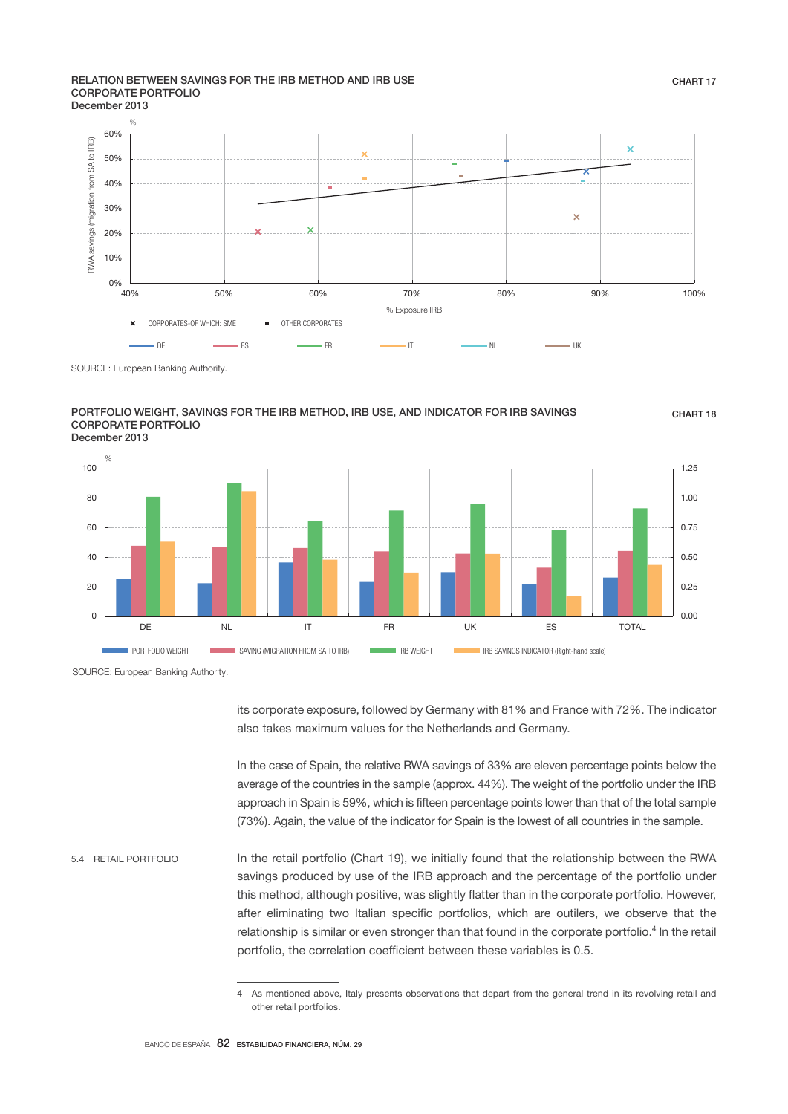### RELATION BETWEEN SAVINGS FOR THE IRB METHOD AND IRB USE CORPORATE PORTFOLIO December 2013



### PORTFOLIO WEIGHT, SAVINGS FOR THE IRB METHOD, IRB USE, AND INDICATOR FOR IRB SAVINGS CORPORATE PORTFOLIO December 2013

0.00 0.25 0.50 0.75 1.00 1.25 0 20 40 60 80 100 DE NL IT FR UK ES TOTAL PORTFOLIO WEIGHT SAVING (MIGRATION FROM SA TO IRB) IRB WEIGHT INDICATOR (RIght-hand scale) %

SOURCE: European Banking Authority.

its corporate exposure, followed by Germany with 81% and France with 72%. The indicator also takes maximum values for the Netherlands and Germany.

In the case of Spain, the relative RWA savings of 33% are eleven percentage points below the average of the countries in the sample (approx. 44%). The weight of the portfolio under the IRB approach in Spain is 59%, which is fifteen percentage points lower than that of the total sample (73%). Again, the value of the indicator for Spain is the lowest of all countries in the sample.

In the retail portfolio (Chart 19), we initially found that the relationship between the RWA savings produced by use of the IRB approach and the percentage of the portfolio under this method, although positive, was slightly flatter than in the corporate portfolio. However, after eliminating two Italian specific portfolios, which are outilers, we observe that the relationship is similar or even stronger than that found in the corporate portfolio.<sup>4</sup> In the retail portfolio, the correlation coefficient between these variables is 0.5. 5.4 RETAIL PORTFOLIO

CHART 18

<sup>4</sup> As mentioned above, Italy presents observations that depart from the general trend in its revolving retail and other retail portfolios.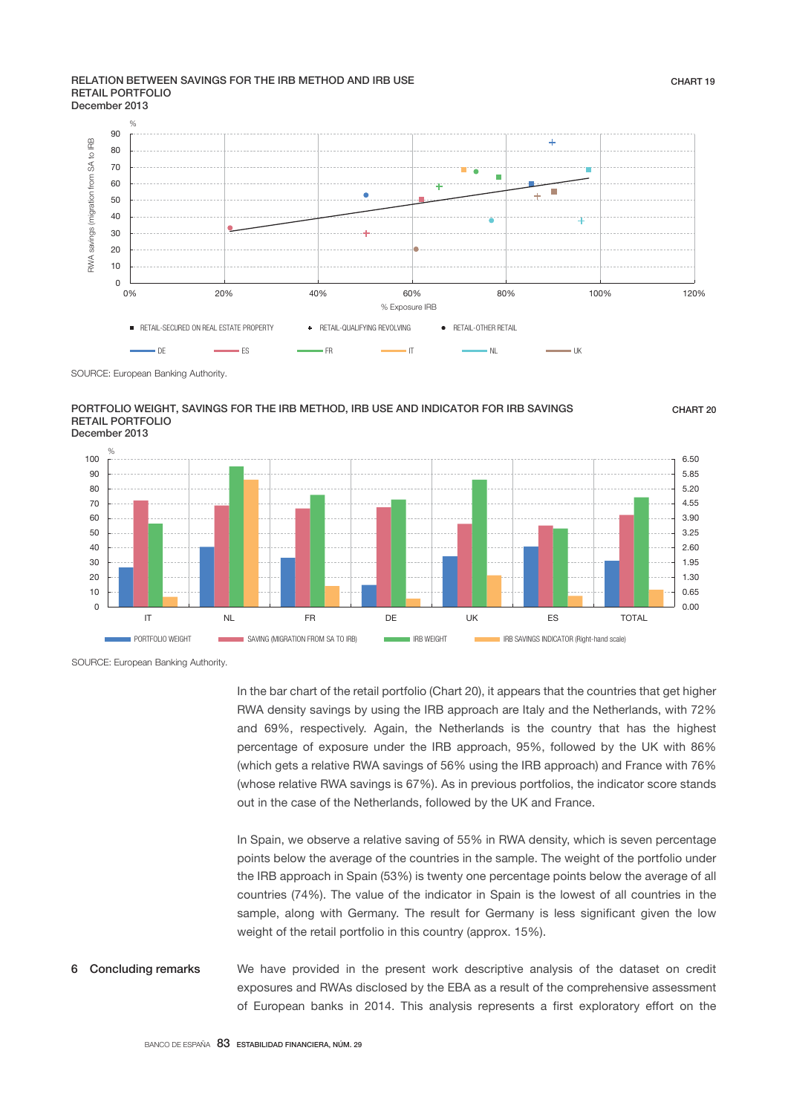### RELATION BETWEEN SAVINGS FOR THE IRB METHOD AND IRB USE RETAIL PORTFOLIO December 2013



### PORTFOLIO WEIGHT, SAVINGS FOR THE IRB METHOD, IRB USE AND INDICATOR FOR IRB SAVINGS RETAIL PORTFOLIO December 2013

 $0.00$ 0.65 1.30 1.95 2.60 3.25 3.90 4.55 5.20 5.85 6.50  $\Omega$ 10  $20$ 30  $40$  $50$  $60$ 70 80  $90$ 100 IT NL FR DE UK ES TOTAL PORTFOLIO WEIGHT SAVING (MIGRATION FROM SA TO IRB) IRB WEIGHT INDICATOR IRB SAVINGS INDICATOR (Right-hand scale) %

SOURCE: European Banking Authority.

In the bar chart of the retail portfolio (Chart 20), it appears that the countries that get higher RWA density savings by using the IRB approach are Italy and the Netherlands, with 72% and 69%, respectively. Again, the Netherlands is the country that has the highest percentage of exposure under the IRB approach, 95%, followed by the UK with 86% (which gets a relative RWA savings of 56% using the IRB approach) and France with 76% (whose relative RWA savings is 67%). As in previous portfolios, the indicator score stands out in the case of the Netherlands, followed by the UK and France.

In Spain, we observe a relative saving of 55% in RWA density, which is seven percentage points below the average of the countries in the sample. The weight of the portfolio under the IRB approach in Spain (53%) is twenty one percentage points below the average of all countries (74%). The value of the indicator in Spain is the lowest of all countries in the sample, along with Germany. The result for Germany is less significant given the low weight of the retail portfolio in this country (approx. 15%).

### We have provided in the present work descriptive analysis of the dataset on credit exposures and RWAs disclosed by the EBA as a result of the comprehensive assessment of European banks in 2014. This analysis represents a first exploratory effort on the 6 Concluding remarks

CHART<sub>20</sub>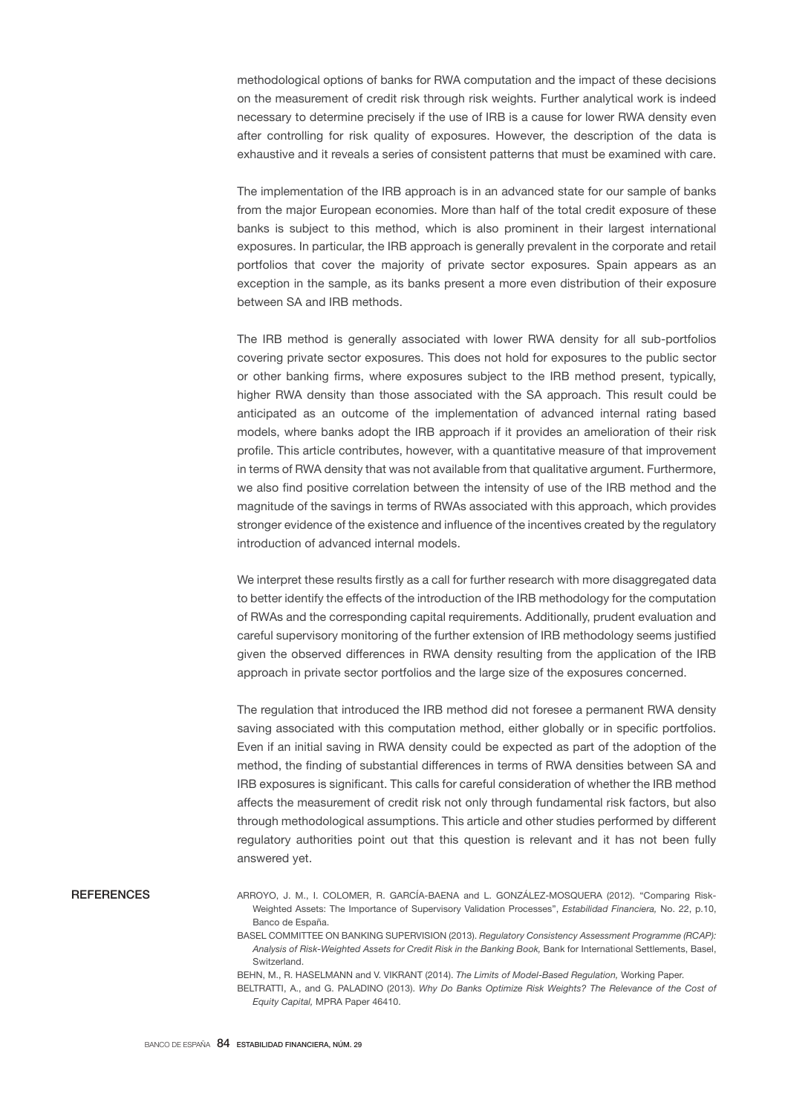methodological options of banks for RWA computation and the impact of these decisions on the measurement of credit risk through risk weights. Further analytical work is indeed necessary to determine precisely if the use of IRB is a cause for lower RWA density even after controlling for risk quality of exposures. However, the description of the data is exhaustive and it reveals a series of consistent patterns that must be examined with care.

The implementation of the IRB approach is in an advanced state for our sample of banks from the major European economies. More than half of the total credit exposure of these banks is subject to this method, which is also prominent in their largest international exposures. In particular, the IRB approach is generally prevalent in the corporate and retail portfolios that cover the majority of private sector exposures. Spain appears as an exception in the sample, as its banks present a more even distribution of their exposure between SA and IRB methods.

The IRB method is generally associated with lower RWA density for all sub-portfolios covering private sector exposures. This does not hold for exposures to the public sector or other banking firms, where exposures subject to the IRB method present, typically, higher RWA density than those associated with the SA approach. This result could be anticipated as an outcome of the implementation of advanced internal rating based models, where banks adopt the IRB approach if it provides an amelioration of their risk profile. This article contributes, however, with a quantitative measure of that improvement in terms of RWA density that was not available from that qualitative argument. Furthermore, we also find positive correlation between the intensity of use of the IRB method and the magnitude of the savings in terms of RWAs associated with this approach, which provides stronger evidence of the existence and influence of the incentives created by the regulatory introduction of advanced internal models.

We interpret these results firstly as a call for further research with more disaggregated data to better identify the effects of the introduction of the IRB methodology for the computation of RWAs and the corresponding capital requirements. Additionally, prudent evaluation and careful supervisory monitoring of the further extension of IRB methodology seems justified given the observed differences in RWA density resulting from the application of the IRB approach in private sector portfolios and the large size of the exposures concerned.

The regulation that introduced the IRB method did not foresee a permanent RWA density saving associated with this computation method, either globally or in specific portfolios. Even if an initial saving in RWA density could be expected as part of the adoption of the method, the finding of substantial differences in terms of RWA densities between SA and IRB exposures is significant. This calls for careful consideration of whether the IRB method affects the measurement of credit risk not only through fundamental risk factors, but also through methodological assumptions. This article and other studies performed by different regulatory authorities point out that this question is relevant and it has not been fully answered yet.

**REFERENCES** 

ARROYO, J. M., I. COLOMER, R. GARCÍA-BAENA and L. GONZÁLEZ-MOSQUERA (2012). "Comparing Risk-Weighted Assets: The Importance of Supervisory Validation Processes", *Estabilidad Financiera,* No. 22, p.10, Banco de España.

BASEL COMMITTEE ON BANKING SUPERVISION (2013). *Regulatory Consistency Assessment Programme (RCAP): Analysis of Risk-Weighted Assets for Credit Risk in the Banking Book,* Bank for International Settlements, Basel, Switzerland.

BEHN, M., R. HASELMANN and V. VIKRANT (2014). *The Limits of Model-Based Regulation,* Working Paper. BELTRATTI, A., and G. PALADINO (2013). *Why Do Banks Optimize Risk Weights? The Relevance of the Cost of Equity Capital,* MPRA Paper 46410.